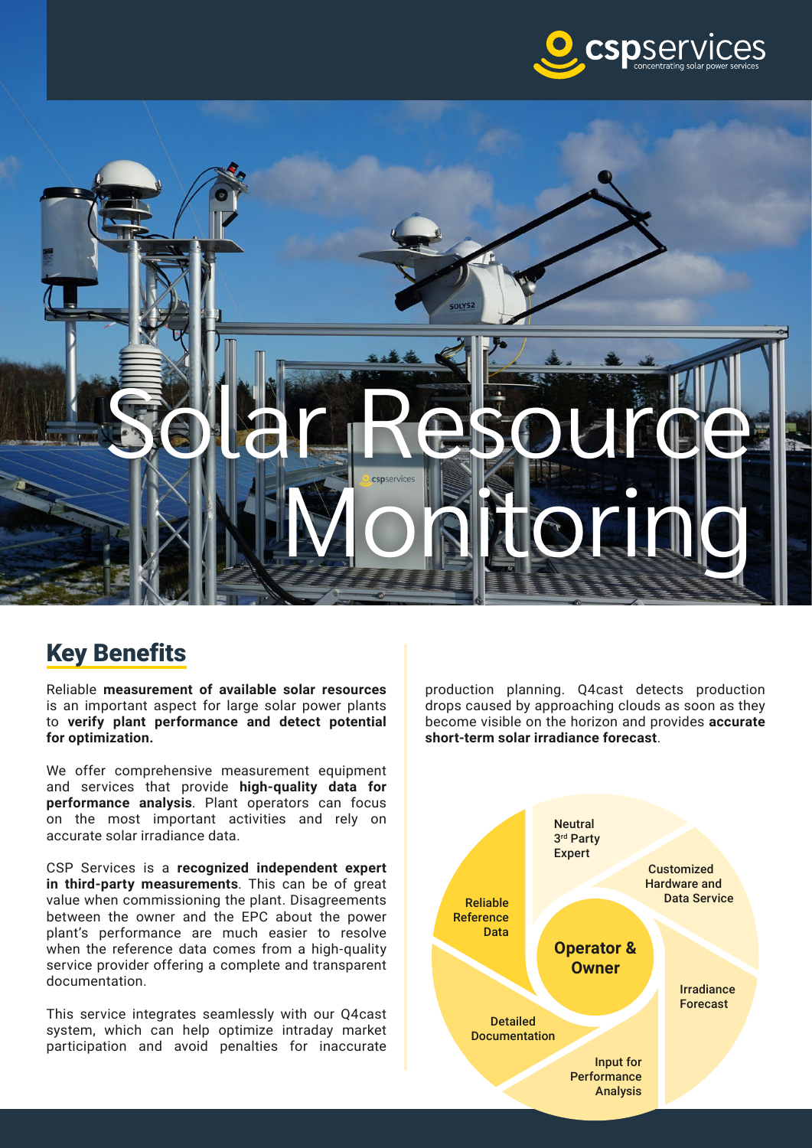



## Key Benefits

Reliable **measurement of available solar resources**  is an important aspect for large solar power plants to **verify plant performance and detect potential for optimization.**

We offer comprehensive measurement equipment and services that provide **high-quality data for performance analysis**. Plant operators can focus on the most important activities and rely on accurate solar irradiance data.

CSP Services is a **recognized independent expert in third-party measurements**. This can be of great value when commissioning the plant. Disagreements between the owner and the EPC about the power plant's performance are much easier to resolve when the reference data comes from a high-quality service provider offering a complete and transparent documentation.

This service integrates seamlessly with our Q4cast system, which can help optimize intraday market participation and avoid penalties for inaccurate production planning. Q4cast detects production drops caused by approaching clouds as soon as they become visible on the horizon and provides **accurate short-term solar irradiance forecast**.